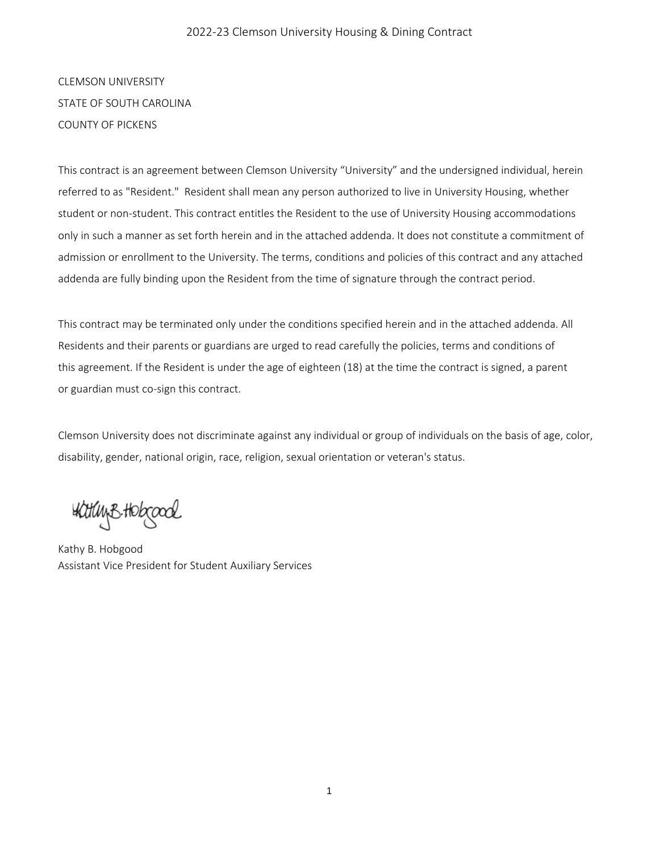#### 2022-23 Clemson University Housing & Dining Contract

CLEMSON UNIVERSITY STATE OF SOUTH CAROLINA COUNTY OF PICKENS

This contract is an agreement between Clemson University "University" and the undersigned individual, herein referred to as "Resident." Resident shall mean any person authorized to live in University Housing, whether student or non-student. This contract entitles the Resident to the use of University Housing accommodations only in such a manner as set forth herein and in the attached addenda. It does not constitute a commitment of admission or enrollment to the University. The terms, conditions and policies of this contract and any attached addenda are fully binding upon the Resident from the time of signature through the contract period.

This contract may be terminated only under the conditions specified herein and in the attached addenda. All Residents and their parents or guardians are urged to read carefully the policies, terms and conditions of this agreement. If the Resident is under the age of eighteen (18) at the time the contract is signed, a parent or guardian must co-sign this contract.

Clemson University does not discriminate against any individual or group of individuals on the basis of age, color, disability, gender, national origin, race, religion, sexual orientation or veteran's status.

: Watuy B. Hobcood

Kathy B. Hobgood Assistant Vice President for Student Auxiliary Services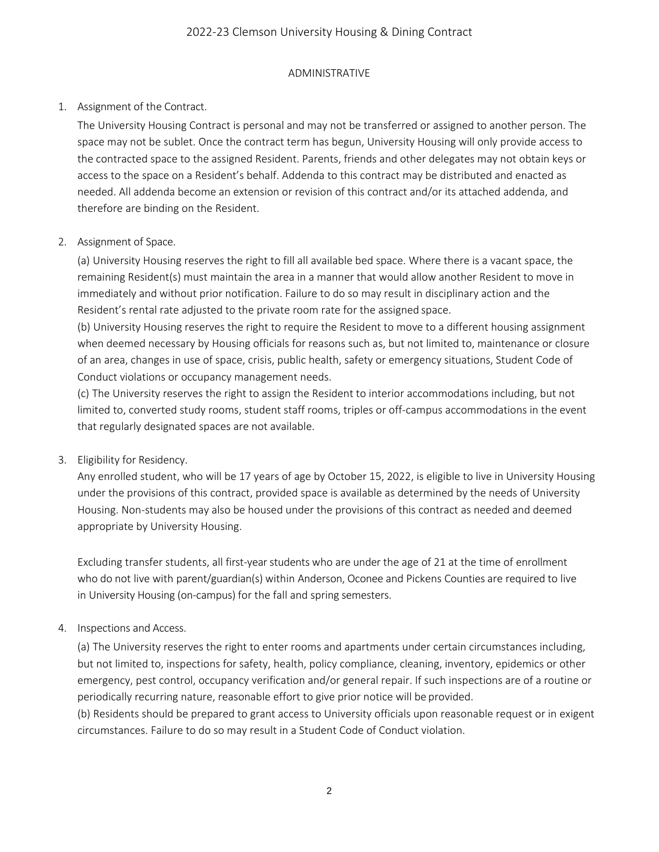## 2022-23 Clemson University Housing & Dining Contract

#### ADMINISTRATIVE

## 1. Assignment of the Contract.

The University Housing Contract is personal and may not be transferred or assigned to another person. The space may not be sublet. Once the contract term has begun, University Housing will only provide access to the contracted space to the assigned Resident. Parents, friends and other delegates may not obtain keys or access to the space on a Resident's behalf. Addenda to this contract may be distributed and enacted as needed. All addenda become an extension or revision of this contract and/or its attached addenda, and therefore are binding on the Resident.

#### 2. Assignment of Space.

(a) University Housing reserves the right to fill all available bed space. Where there is a vacant space, the remaining Resident(s) must maintain the area in a manner that would allow another Resident to move in immediately and without prior notification. Failure to do so may result in disciplinary action and the Resident's rental rate adjusted to the private room rate for the assigned space.

(b) University Housing reserves the right to require the Resident to move to a different housing assignment when deemed necessary by Housing officials for reasons such as, but not limited to, maintenance or closure of an area, changes in use of space, crisis, public health, safety or emergency situations, Student Code of Conduct violations or occupancy management needs.

(c) The University reserves the right to assign the Resident to interior accommodations including, but not limited to, converted study rooms, student staff rooms, triples or off-campus accommodations in the event that regularly designated spaces are not available.

#### 3. Eligibility for Residency.

Any enrolled student, who will be 17 years of age by October 15, 2022, is eligible to live in University Housing under the provisions of this contract, provided space is available as determined by the needs of University Housing. Non-students may also be housed under the provisions of this contract as needed and deemed appropriate by University Housing.

Excluding transfer students, all first-year students who are under the age of 21 at the time of enrollment who do not live with parent/guardian(s) within Anderson, Oconee and Pickens Counties are required to live in University Housing (on-campus) for the fall and spring semesters.

#### 4. Inspections and Access.

(a) The University reserves the right to enter rooms and apartments under certain circumstances including, but not limited to, inspections for safety, health, policy compliance, cleaning, inventory, epidemics or other emergency, pest control, occupancy verification and/or general repair. If such inspections are of a routine or periodically recurring nature, reasonable effort to give prior notice will be provided.

(b) Residents should be prepared to grant access to University officials upon reasonable request or in exigent circumstances. Failure to do so may result in a Student Code of Conduct violation.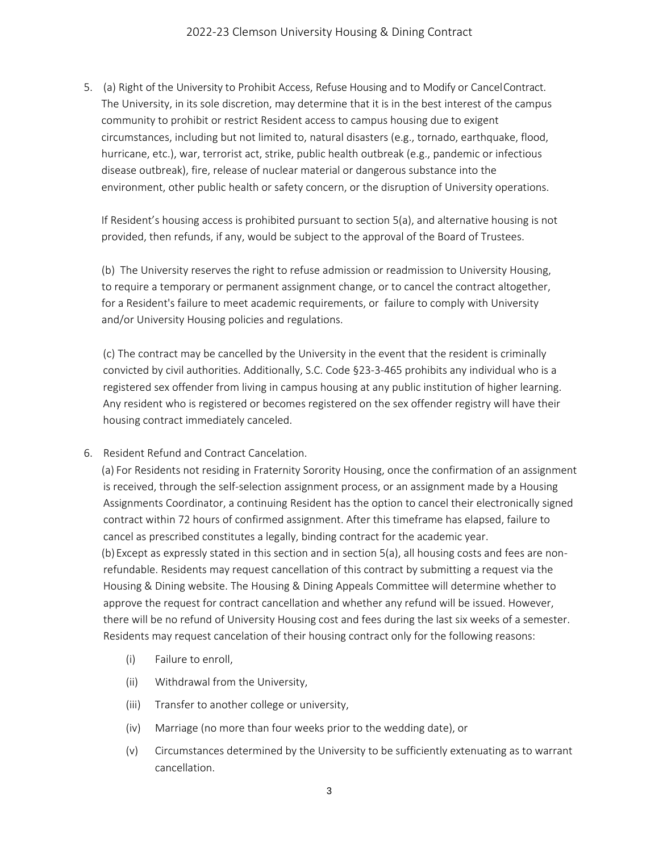5. (a) Right of the University to Prohibit Access, Refuse Housing and to Modify or CancelContract. The University, in its sole discretion, may determine that it is in the best interest of the campus community to prohibit or restrict Resident access to campus housing due to exigent circumstances, including but not limited to, natural disasters (e.g., tornado, earthquake, flood, hurricane, etc.), war, terrorist act, strike, public health outbreak (e.g., pandemic or infectious disease outbreak), fire, release of nuclear material or dangerous substance into the environment, other public health or safety concern, or the disruption of University operations.

If Resident's housing access is prohibited pursuant to section 5(a), and alternative housing is not provided, then refunds, if any, would be subject to the approval of the Board of Trustees.

(b) The University reserves the right to refuse admission or readmission to University Housing, to require a temporary or permanent assignment change, or to cancel the contract altogether, for a Resident's failure to meet academic requirements, or failure to comply with University and/or University Housing policies and regulations.

(c) The contract may be cancelled by the University in the event that the resident is criminally convicted by civil authorities. Additionally, S.C. Code §23-3-465 prohibits any individual who is a registered sex offender from living in campus housing at any public institution of higher learning. Any resident who is registered or becomes registered on the sex offender registry will have their housing contract immediately canceled.

6. Resident Refund and Contract Cancelation.

(a) For Residents not residing in Fraternity Sorority Housing, once the confirmation of an assignment is received, through the self-selection assignment process, or an assignment made by a Housing Assignments Coordinator, a continuing Resident has the option to cancel their electronically signed contract within 72 hours of confirmed assignment. After this timeframe has elapsed, failure to cancel as prescribed constitutes a legally, binding contract for the academic year. (b) Except as expressly stated in this section and in section 5(a), all housing costs and fees are nonrefundable. Residents may request cancellation of this contract by submitting a request via the Housing & Dining website. The Housing & Dining Appeals Committee will determine whether to approve the request for contract cancellation and whether any refund will be issued. However, there will be no refund of University Housing cost and fees during the last six weeks of a semester. Residents may request cancelation of their housing contract only for the following reasons:

- (i) Failure to enroll,
- (ii) Withdrawal from the University,
- (iii) Transfer to another college or university,
- (iv) Marriage (no more than four weeks prior to the wedding date), or
- (v) Circumstances determined by the University to be sufficiently extenuating as to warrant cancellation.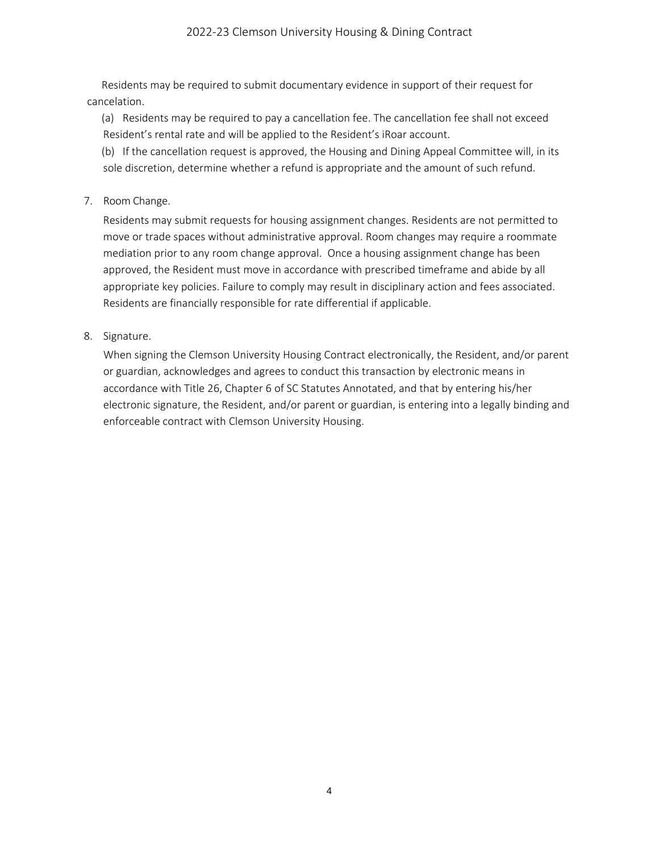#### 2022-23 Clemson University Housing & Dining Contract

Residents may be required to submit documentary evidence in support of their request for cancelation.

(a) Residents may be required to pay a cancellation fee. The cancellation fee shall not exceed Resident's rental rate and will be applied to the Resident's iRoar account.

(b) If the cancellation request is approved, the Housing and Dining Appeal Committee will, in its sole discretion, determine whether a refund is appropriate and the amount of such refund.

7. Room Change.

Residents may submit requests for housing assignment changes. Residents are not permitted to move or trade spaces without administrative approval. Room changes may require a roommate mediation prior to any room change approval. Once a housing assignment change has been approved, the Resident must move in accordance with prescribed timeframe and abide by all appropriate key policies. Failure to comply may result in disciplinary action and fees associated. Residents are financially responsible for rate differential if applicable.

8. Signature.

When signing the Clemson University Housing Contract electronically, the Resident, and/or parent or guardian, acknowledges and agrees to conduct this transaction by electronic means in accordance with Title 26, Chapter 6 of SC Statutes Annotated, and that by entering his/her electronic signature, the Resident, and/or parent or guardian, is entering into a legally binding and enforceable contract with Clemson University Housing.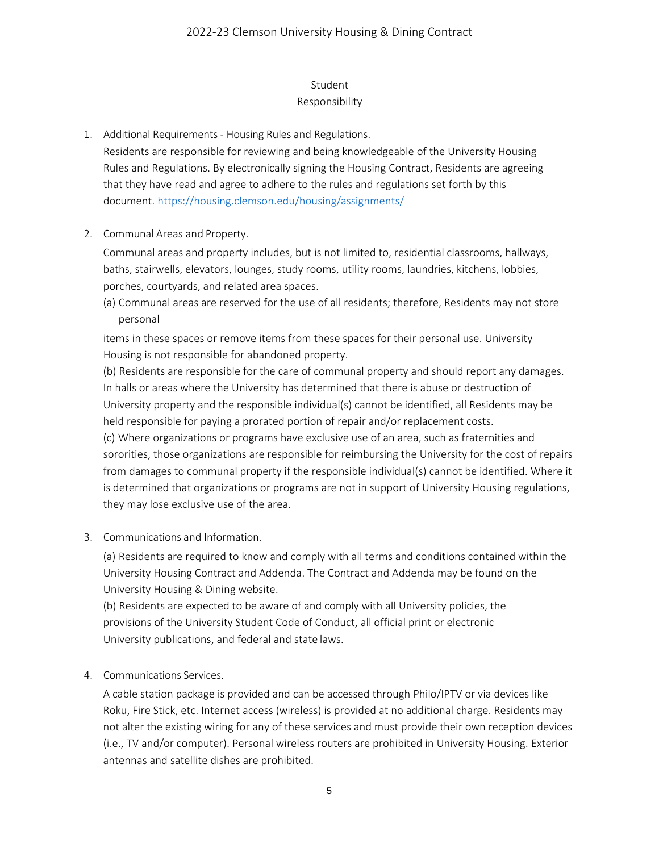## Student

## Responsibility

1. Additional Requirements - Housing Rules and Regulations.

Residents are responsible for reviewing and being knowledgeable of the University Housing Rules and Regulations. By electronically signing the Housing Contract, Residents are agreeing that they have read and agree to adhere to the rules and regulations set forth by this document.<https://housing.clemson.edu/housing/assignments/>

2. Communal Areas and Property.

Communal areas and property includes, but is not limited to, residential classrooms, hallways, baths, stairwells, elevators, lounges, study rooms, utility rooms, laundries, kitchens, lobbies, porches, courtyards, and related area spaces.

(a) Communal areas are reserved for the use of all residents; therefore, Residents may not store personal

items in these spaces or remove items from these spaces for their personal use. University Housing is not responsible for abandoned property.

(b) Residents are responsible for the care of communal property and should report any damages. In halls or areas where the University has determined that there is abuse or destruction of University property and the responsible individual(s) cannot be identified, all Residents may be held responsible for paying a prorated portion of repair and/or replacement costs.

(c) Where organizations or programs have exclusive use of an area, such as fraternities and sororities, those organizations are responsible for reimbursing the University for the cost of repairs from damages to communal property if the responsible individual(s) cannot be identified. Where it is determined that organizations or programs are not in support of University Housing regulations, they may lose exclusive use of the area.

3. Communications and Information.

(a) Residents are required to know and comply with all terms and conditions contained within the University Housing Contract and Addenda. The Contract and Addenda may be found on the University Housing & Dining website.

(b) Residents are expected to be aware of and comply with all University policies, the provisions of the University Student Code of Conduct, all official print or electronic University publications, and federal and state laws.

4. Communications Services.

A cable station package is provided and can be accessed through Philo/IPTV or via devices like Roku, Fire Stick, etc. Internet access (wireless) is provided at no additional charge. Residents may not alter the existing wiring for any of these services and must provide their own reception devices (i.e., TV and/or computer). Personal wireless routers are prohibited in University Housing. Exterior antennas and satellite dishes are prohibited.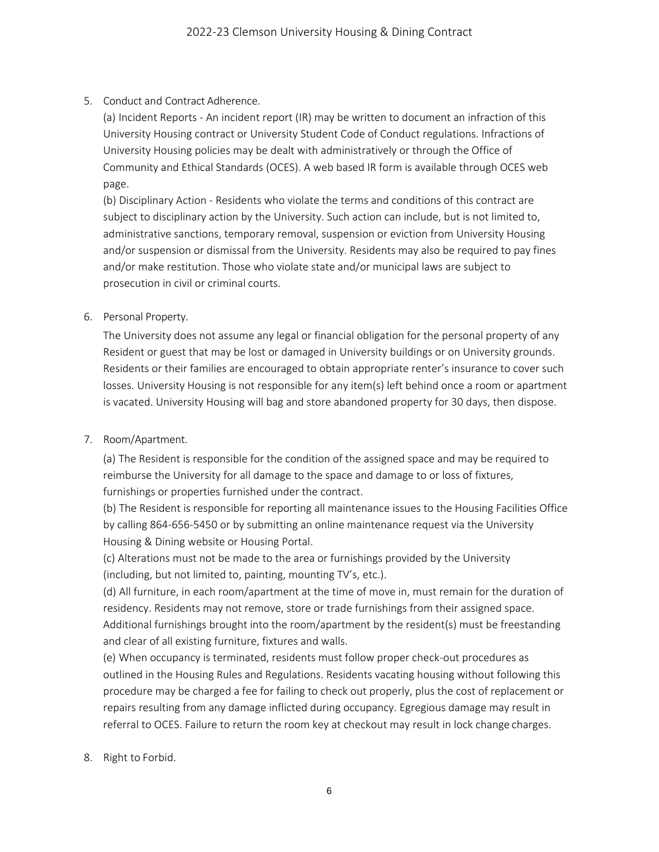## 5. Conduct and Contract Adherence.

(a) Incident Reports - An incident report (IR) may be written to document an infraction of this University Housing contract or University Student Code of Conduct regulations. Infractions of University Housing policies may be dealt with administratively or through the Office of Community and Ethical Standards (OCES). A web based IR form is available through OCES web page.

(b) Disciplinary Action - Residents who violate the terms and conditions of this contract are subject to disciplinary action by the University. Such action can include, but is not limited to, administrative sanctions, temporary removal, suspension or eviction from University Housing and/or suspension or dismissal from the University. Residents may also be required to pay fines and/or make restitution. Those who violate state and/or municipal laws are subject to prosecution in civil or criminal courts.

#### 6. Personal Property.

The University does not assume any legal or financial obligation for the personal property of any Resident or guest that may be lost or damaged in University buildings or on University grounds. Residents or their families are encouraged to obtain appropriate renter's insurance to cover such losses. University Housing is not responsible for any item(s) left behind once a room or apartment is vacated. University Housing will bag and store abandoned property for 30 days, then dispose.

#### 7. Room/Apartment.

(a) The Resident is responsible for the condition of the assigned space and may be required to reimburse the University for all damage to the space and damage to or loss of fixtures, furnishings or properties furnished under the contract.

(b) The Resident is responsible for reporting all maintenance issues to the Housing Facilities Office by calling 864-656-5450 or by submitting an online maintenance request via the University Housing & Dining website or Housing Portal.

(c) Alterations must not be made to the area or furnishings provided by the University (including, but not limited to, painting, mounting TV's, etc.).

(d) All furniture, in each room/apartment at the time of move in, must remain for the duration of residency. Residents may not remove, store or trade furnishings from their assigned space. Additional furnishings brought into the room/apartment by the resident(s) must be freestanding and clear of all existing furniture, fixtures and walls.

(e) When occupancy is terminated, residents must follow proper check-out procedures as outlined in the Housing Rules and Regulations. Residents vacating housing without following this procedure may be charged a fee for failing to check out properly, plus the cost of replacement or repairs resulting from any damage inflicted during occupancy. Egregious damage may result in referral to OCES. Failure to return the room key at checkout may result in lock change charges.

8. Right to Forbid.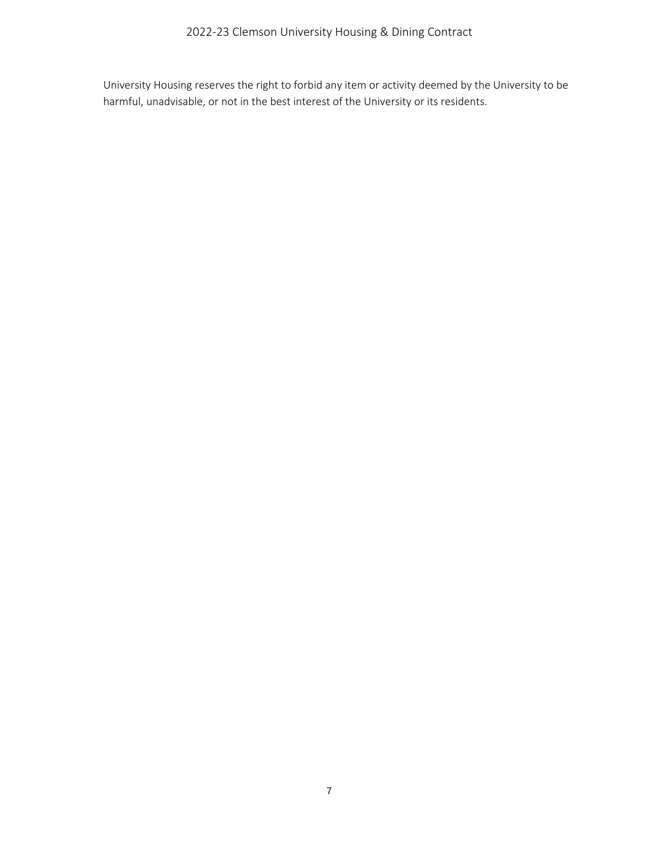University Housing reserves the right to forbid any item or activity deemed by the University to be harmful, unadvisable, or not in the best interest of the University or its residents.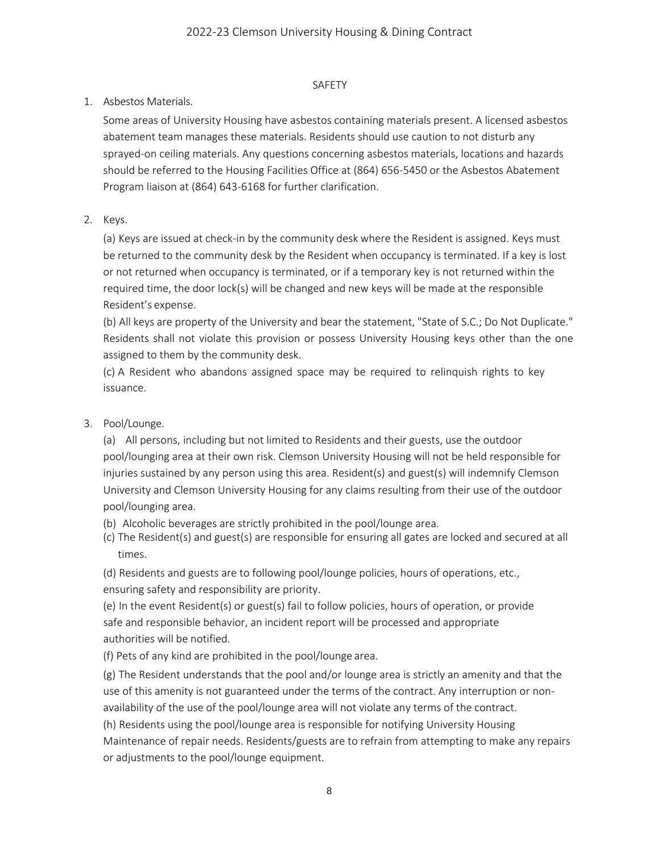## SAFETY

## 1. Asbestos Materials.

Some areas of University Housing have asbestos containing materials present. A licensed asbestos abatement team manages these materials. Residents should use caution to not disturb any sprayed-on ceiling materials. Any questions concerning asbestos materials, locations and hazards should be referred to the Housing Facilities Office at (864) 656-5450 or the Asbestos Abatement Program liaison at (864) 643-6168 for further clarification.

## 2. Keys.

(a) Keys are issued at check-in by the community desk where the Resident is assigned. Keys must be returned to the community desk by the Resident when occupancy is terminated. If a key is lost or not returned when occupancy is terminated, or if a temporary key is not returned within the required time, the door lock(s) will be changed and new keys will be made at the responsible Resident's expense.

(b) All keys are property of the University and bear the statement, "State of S.C.; Do Not Duplicate." Residents shall not violate this provision or possess University Housing keys other than the one assigned to them by the community desk.

(c) A Resident who abandons assigned space may be required to relinquish rights to key issuance.

# 3. Pool/Lounge.

(a) All persons, including but not limited to Residents and their guests, use the outdoor pool/lounging area at their own risk. Clemson University Housing will not be held responsible for injuries sustained by any person using this area. Resident(s) and guest(s) will indemnify Clemson University and Clemson University Housing for any claims resulting from their use of the outdoor pool/lounging area.

- (b) Alcoholic beverages are strictly prohibited in the pool/lounge area.
- (c) The Resident(s) and guest(s) are responsible for ensuring all gates are locked and secured at all times.

(d) Residents and guests are to following pool/lounge policies, hours of operations, etc., ensuring safety and responsibility are priority.

(e) In the event Resident(s) or guest(s) fail to follow policies, hours of operation, or provide safe and responsible behavior, an incident report will be processed and appropriate authorities will be notified.

(f) Pets of any kind are prohibited in the pool/lounge area.

(g) The Resident understands that the pool and/or lounge area is strictly an amenity and that the use of this amenity is not guaranteed under the terms of the contract. Any interruption or nonavailability of the use of the pool/lounge area will not violate any terms of the contract.

(h) Residents using the pool/lounge area is responsible for notifying University Housing Maintenance of repair needs. Residents/guests are to refrain from attempting to make any repairs or adjustments to the pool/lounge equipment.